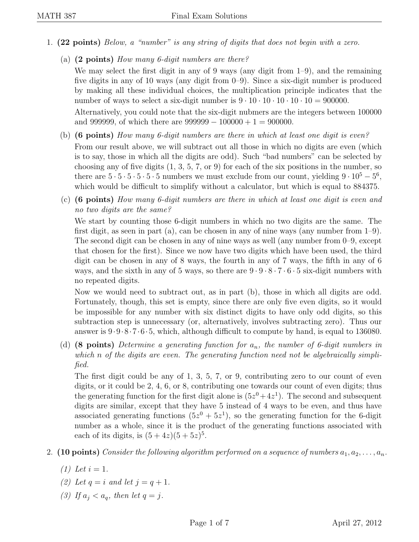- 1. (22 points) Below, a "number" is any string of digits that does not begin with a zero.
	- (a) (2 points) How many 6-digit numbers are there?

We may select the first digit in any of 9 ways (any digit from 1–9), and the remaining five digits in any of 10 ways (any digit from 0–9). Since a six-digit number is produced by making all these individual choices, the multiplication principle indicates that the number of ways to select a six-digit number is  $9 \cdot 10 \cdot 10 \cdot 10 \cdot 10 = 900000$ .

Alternatively, you could note that the six-digit nubmers are the integers between 100000 and 999999, of which there are  $999999 - 100000 + 1 = 900000$ .

- (b) (6 points) How many 6-digit numbers are there in which at least one digit is even? From our result above, we will subtract out all those in which no digits are even (which is to say, those in which all the digits are odd). Such "bad numbers" can be selected by choosing any of five digits  $(1, 3, 5, 7, \text{or } 9)$  for each of the six positions in the number, so there are  $5 \cdot 5 \cdot 5 \cdot 5 \cdot 5 \cdot 5$  numbers we must exclude from our count, yielding  $9 \cdot 10^5 - 5^6$ , which would be difficult to simplify without a calculator, but which is equal to 884375.
- (c) (6 points) How many 6-digit numbers are there in which at least one digit is even and no two digits are the same?

We start by counting those 6-digit numbers in which no two digits are the same. The first digit, as seen in part (a), can be chosen in any of nine ways (any number from 1–9). The second digit can be chosen in any of nine ways as well (any number from 0–9, except that chosen for the first). Since we now have two digits which have been used, the third digit can be chosen in any of 8 ways, the fourth in any of 7 ways, the fifth in any of 6 ways, and the sixth in any of 5 ways, so there are  $9 \cdot 9 \cdot 8 \cdot 7 \cdot 6 \cdot 5$  six-digit numbers with no repeated digits.

Now we would need to subtract out, as in part (b), those in which all digits are odd. Fortunately, though, this set is empty, since there are only five even digits, so it would be impossible for any number with six distinct digits to have only odd digits, so this subtraction step is unnecessary (or, alternatively, involves subtracting zero). Thus our answer is 9·9·8·7·6·5, which, although difficult to compute by hand, is equal to 136080.

(d) (8 points) Determine a generating function for  $a_n$ , the number of 6-digit numbers in which n of the digits are even. The generating function need not be algebraically simplified.

The first digit could be any of 1, 3, 5, 7, or 9, contributing zero to our count of even digits, or it could be 2, 4, 6, or 8, contributing one towards our count of even digits; thus the generating function for the first digit alone is  $(5z^0+4z^1)$ . The second and subsequent digits are similar, except that they have 5 instead of 4 ways to be even, and thus have associated generating functions  $(5z^0 + 5z^1)$ , so the generating function for the 6-digit number as a whole, since it is the product of the generating functions associated with each of its digits, is  $(5+4z)(5+5z)^5$ .

## 2. (10 points) Consider the following algorithm performed on a sequence of numbers  $a_1, a_2, \ldots, a_n$ .

- (1) Let  $i = 1$ .
- (2) Let  $q = i$  and let  $j = q + 1$ .
- (3) If  $a_i < a_g$ , then let  $q = j$ .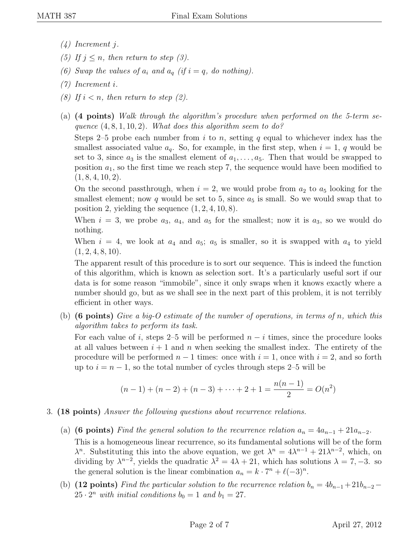- (4) Increment j.
- (5) If  $j \leq n$ , then return to step (3).
- (6) Swap the values of  $a_i$  and  $a_q$  (if  $i = q$ , do nothing).
- (7) Increment i.
- (8) If  $i < n$ , then return to step (2).
- (a) (4 points) Walk through the algorithm's procedure when performed on the 5-term sequence  $(4, 8, 1, 10, 2)$ . What does this algorithm seem to do?

Steps 2–5 probe each number from i to n, setting q equal to whichever index has the smallest associated value  $a_q$ . So, for example, in the first step, when  $i = 1, q$  would be set to 3, since  $a_3$  is the smallest element of  $a_1, \ldots, a_5$ . Then that would be swapped to position  $a_1$ , so the first time we reach step 7, the sequence would have been modified to  $(1, 8, 4, 10, 2).$ 

On the second passthrough, when  $i = 2$ , we would probe from  $a_2$  to  $a_5$  looking for the smallest element; now q would be set to 5, since  $a_5$  is small. So we would swap that to position 2, yielding the sequence  $(1, 2, 4, 10, 8)$ .

When  $i = 3$ , we probe  $a_3$ ,  $a_4$ , and  $a_5$  for the smallest; now it is  $a_3$ , so we would do nothing.

When  $i = 4$ , we look at  $a_4$  and  $a_5$ ;  $a_5$  is smaller, so it is swapped with  $a_4$  to yield  $(1, 2, 4, 8, 10).$ 

The apparent result of this procedure is to sort our sequence. This is indeed the function of this algorithm, which is known as selection sort. It's a particularly useful sort if our data is for some reason "immobile", since it only swaps when it knows exactly where a number should go, but as we shall see in the next part of this problem, it is not terribly efficient in other ways.

(b) (6 points) Give a big-O estimate of the number of operations, in terms of n, which this algorithm takes to perform its task.

For each value of i, steps 2–5 will be performed  $n - i$  times, since the procedure looks at all values between  $i + 1$  and n when seeking the smallest index. The entirety of the procedure will be performed  $n-1$  times: once with  $i=1$ , once with  $i=2$ , and so forth up to  $i = n - 1$ , so the total number of cycles through steps 2–5 will be

$$
(n-1) + (n-2) + (n-3) + \dots + 2 + 1 = \frac{n(n-1)}{2} = O(n^2)
$$

- 3. (18 points) Answer the following questions about recurrence relations.
	- (a) (6 points) Find the general solution to the recurrence relation  $a_n = 4a_{n-1} + 21a_{n-2}$ . This is a homogeneous linear recurrence, so its fundamental solutions will be of the form  $\lambda^n$ . Substituting this into the above equation, we get  $\lambda^n = 4\lambda^{n-1} + 21\lambda^{n-2}$ , which, on dividing by  $\lambda^{n-2}$ , yields the quadratic  $\lambda^2 = 4\lambda + 21$ , which has solutions  $\lambda = 7, -3$ . so the general solution is the linear combination  $a_n = k \cdot 7^n + \ell(-3)^n$ .
	- (b) (12 points) Find the particular solution to the recurrence relation  $b_n = 4b_{n-1} + 21b_{n-2} 25 \cdot 2^n$  with initial conditions  $b_0 = 1$  and  $b_1 = 27$ .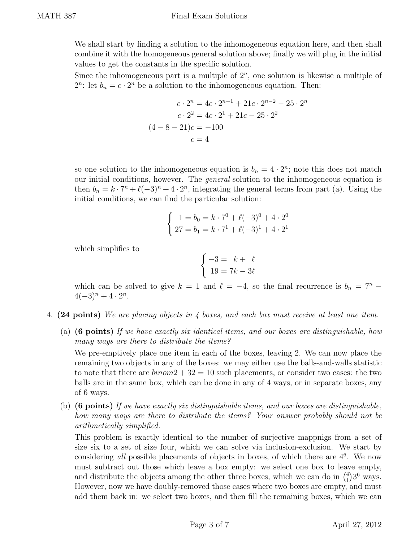We shall start by finding a solution to the inhomogeneous equation here, and then shall combine it with the homogeneous general solution above; finally we will plug in the initial values to get the constants in the specific solution.

Since the inhomogeneous part is a multiple of  $2<sup>n</sup>$ , one solution is likewise a multiple of  $2^n$ : let  $b_n = c \cdot 2^n$  be a solution to the inhomogeneous equation. Then:

$$
c \cdot 2^{n} = 4c \cdot 2^{n-1} + 21c \cdot 2^{n-2} - 25 \cdot 2^{n}
$$

$$
c \cdot 2^{2} = 4c \cdot 2^{1} + 21c - 25 \cdot 2^{2}
$$

$$
(4 - 8 - 21)c = -100
$$

$$
c = 4
$$

so one solution to the inhomogeneous equation is  $b_n = 4 \cdot 2^n$ ; note this does not match our initial conditions, however. The general solution to the inhomogeneous equation is then  $b_n = k \cdot 7^n + \ell(-3)^n + 4 \cdot 2^n$ , integrating the general terms from part (a). Using the initial conditions, we can find the particular solution:

$$
\begin{cases}\n1 = b_0 = k \cdot 7^0 + \ell(-3)^0 + 4 \cdot 2^0 \\
27 = b_1 = k \cdot 7^1 + \ell(-3)^1 + 4 \cdot 2^1\n\end{cases}
$$

which simplifies to

$$
\begin{cases}\n-3 = k + \ell \\
19 = 7k - 3\ell\n\end{cases}
$$

which can be solved to give  $k = 1$  and  $\ell = -4$ , so the final recurrence is  $b_n = 7^n - 1$  $4(-3)^n + 4 \cdot 2^n$ .

- 4. (24 points) We are placing objects in 4 boxes, and each box must receive at least one item.
	- (a) (6 points) If we have exactly six identical items, and our boxes are distinguishable, how many ways are there to distribute the items?

We pre-emptively place one item in each of the boxes, leaving 2. We can now place the remaining two objects in any of the boxes: we may either use the balls-and-walls statistic to note that there are  $binom{2+32}{10}$  such placements, or consider two cases: the two balls are in the same box, which can be done in any of 4 ways, or in separate boxes, any of 6 ways.

(b) (6 points) If we have exactly six distinguishable items, and our boxes are distinguishable, how many ways are there to distribute the items? Your answer probably should not be arithmetically simplified.

This problem is exactly identical to the number of surjective mappnigs from a set of size six to a set of size four, which we can solve via inclusion-exclusion. We start by considering all possible placements of objects in boxes, of which there are  $4<sup>6</sup>$ . We now must subtract out those which leave a box empty: we select one box to leave empty, and distribute the objects among the other three boxes, which we can do in  $\binom{4}{1}$  $_{1}^{4})3^{6}$  ways. However, now we have doubly-removed those cases where two boxes are empty, and must add them back in: we select two boxes, and then fill the remaining boxes, which we can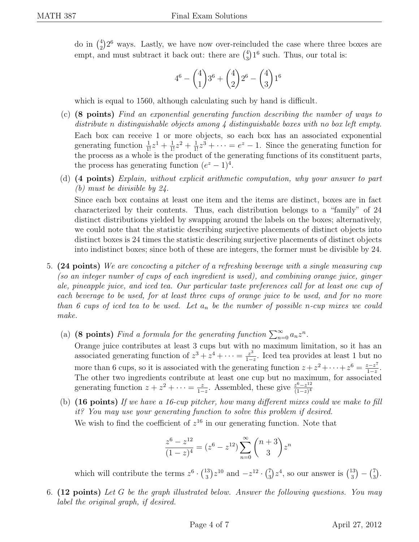do in  $\binom{4}{2}$  $^{4}_{2}$ ) $^{26}$  ways. Lastly, we have now over-reincluded the case where three boxes are empt, and must subtract it back out: there are  $\binom{4}{3}$  $^{4}_{3}$ )<sup>16</sup> such. Thus, our total is:

$$
4^{6} - {4 \choose 1}3^{6} + {4 \choose 2}2^{6} - {4 \choose 3}1^{6}
$$

which is equal to 1560, although calculating such by hand is difficult.

- (c) (8 points) Find an exponential generating function describing the number of ways to distribute n distinguishable objects among 4 distinguishable boxes with no box left empty. Each box can receive 1 or more objects, so each box has an associated exponential generating function  $\frac{1}{1!}z^1 + \frac{1}{1!}z^2 + \frac{1}{1!}z^3 + \cdots = e^z - 1$ . Since the generating function for the process as a whole is the product of the generating functions of its constituent parts, the process has generating function  $(e^z - 1)^4$ .
- (d) (4 points) Explain, without explicit arithmetic computation, why your answer to part (b) must be divisible by 24.

Since each box contains at least one item and the items are distinct, boxes are in fact characterized by their contents. Thus, each distribution belongs to a "family" of 24 distinct distributions yielded by swapping around the labels on the boxes; alternatively, we could note that the statistic describing surjective placements of distinct objects into distinct boxes is 24 times the statistic describing surjective placements of distinct objects into indistinct boxes; since both of these are integers, the former must be divisible by 24.

- 5. (24 points) We are concocting a pitcher of a refreshing beverage with a single measuring cup (so an integer number of cups of each ingredient is used), and combining orange juice, ginger ale, pineapple juice, and iced tea. Our particular taste preferences call for at least one cup of each beverage to be used, for at least three cups of orange juice to be used, and for no more than 6 cups of iced tea to be used. Let  $a_n$  be the number of possible n-cup mixes we could make.
	- (a) (8 points) Find a formula for the generating function  $\sum_{n=0}^{\infty} a_n z^n$ .

Orange juice contributes at least 3 cups but with no maximum limitation, so it has an associated generating function of  $z^3 + z^4 + \cdots = \frac{z^3}{1-z}$  $\frac{z^3}{1-z}$ . Iced tea provides at least 1 but no more than 6 cups, so it is associated with the generating function  $z + z^2 + \cdots + z^6 = \frac{z - z^7}{1 - z}$  $\frac{z-z^{\prime}}{1-z}$ . The other two ingredients contribute at least one cup but no maximum, for associated generating function  $z + z^2 + \cdots = \frac{z}{1-z}$  $\frac{z}{1-z}$ . Assembled, these give  $\frac{z^6-z^{12}}{(1-z)^4}$  $(1-z)^4$ 

(b)  $(16 \text{ points})$  If we have a 16-cup pitcher, how many different mixes could we make to fill it? You may use your generating function to solve this problem if desired. We wish to find the coefficient of  $z^{16}$  in our generating function. Note that

$$
\frac{z^6 - z^{12}}{(1 - z)^4} = (z^6 - z^{12}) \sum_{n=0}^{\infty} {n+3 \choose 3} z^n
$$

which will contribute the terms  $z^6 \cdot \binom{13}{3}$  $\binom{13}{3}z^{10}$  and  $-z^{12} \cdot \binom{7}{3}$  $\binom{7}{3}z^4$ , so our answer is  $\binom{13}{3}$  $\binom{13}{3} - \binom{7}{3}$  $\binom{7}{3}$  .

6. (12 points) Let G be the graph illustrated below. Answer the following questions. You may label the original graph, if desired.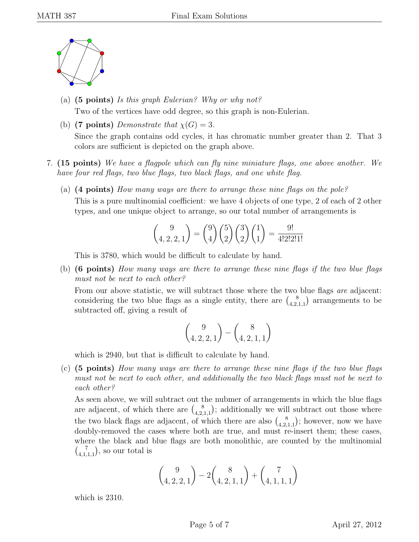

- (a)  $(5 \text{ points})$  Is this graph Eulerian? Why or why not? Two of the vertices have odd degree, so this graph is non-Eulerian.
- (b) (7 points) Demonstrate that  $\chi(G) = 3$ . Since the graph contains odd cycles, it has chromatic number greater than 2. That 3 colors are sufficient is depicted on the graph above.
- 7. (15 points) We have a flagpole which can fly nine miniature flags, one above another. We have four red flags, two blue flags, two black flags, and one white flag.
	- (a) (4 points) How many ways are there to arrange these nine flags on the pole? This is a pure multinomial coefficient: we have 4 objects of one type, 2 of each of 2 other types, and one unique object to arrange, so our total number of arrangements is

$$
\binom{9}{4,2,2,1} = \binom{9}{4} \binom{5}{2} \binom{3}{2} \binom{1}{1} = \frac{9!}{4!2!2!1!}
$$

This is 3780, which would be difficult to calculate by hand.

(b) (6 points) How many ways are there to arrange these nine flags if the two blue flags must not be next to each other?

From our above statistic, we will subtract those where the two blue flags are adjacent: considering the two blue flags as a single entity, there are  $\binom{8}{4}$  $_{4,2,1,1}^8$  arrangements to be subtracted off, giving a result of

$$
\binom{9}{4,2,2,1} - \binom{8}{4,2,1,1}
$$

which is 2940, but that is difficult to calculate by hand.

(c) (5 points) How many ways are there to arrange these nine flags if the two blue flags must not be next to each other, and additionally the two black flags must not be next to each other?

As seen above, we will subtract out the nubmer of arrangements in which the blue flags are adjacent, of which there are  $\binom{8}{4}$  $\left\{\begin{array}{c} 8\\4,2,1,1 \end{array}\right\}$ ; additionally we will subtract out those where the two black flags are adjacent, of which there are also  $\binom{8}{4}$  $\binom{8}{4,2,1,1}$ ; however, now we have doubly-removed the cases where both are true, and must re-insert them; these cases, where the black and blue flags are both monolithic, are counted by the multinomial  $\binom{7}{4}$  $\binom{7}{4,1,1,1}$ , so our total is

$$
\binom{9}{4,2,2,1} - 2\binom{8}{4,2,1,1} + \binom{7}{4,1,1,1}
$$

which is 2310.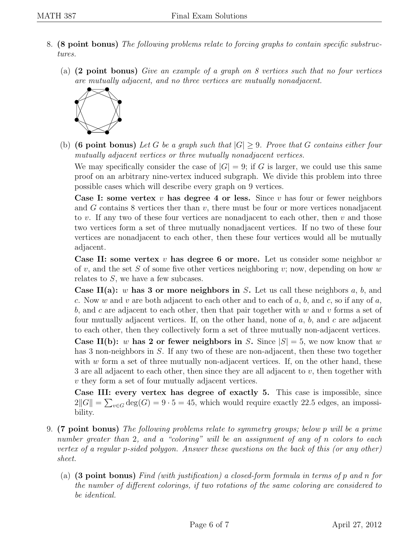- 8. (8 point bonus) The following problems relate to forcing graphs to contain specific substructures.
	- (a) (2 point bonus) Give an example of a graph on 8 vertices such that no four vertices are mutually adjacent, and no three vertices are mutually nonadjacent.



(b) (6 point bonus) Let G be a graph such that  $|G| \geq 9$ . Prove that G contains either four mutually adjacent vertices or three mutually nonadjacent vertices.

We may specifically consider the case of  $|G| = 9$ ; if G is larger, we could use this same proof on an arbitrary nine-vertex induced subgraph. We divide this problem into three possible cases which will describe every graph on 9 vertices.

**Case I: some vertex v has degree 4 or less.** Since v has four or fewer neighbors and  $G$  contains 8 vertices ther than  $v$ , there must be four or more vertices nonadjacent to v. If any two of these four vertices are nonadjacent to each other, then  $v$  and those two vertices form a set of three mutually nonadjacent vertices. If no two of these four vertices are nonadjacent to each other, then these four vertices would all be mutually adjacent.

Case II: some vertex  $v$  has degree 6 or more. Let us consider some neighbor  $w$ of v, and the set S of some five other vertices neighboring v; now, depending on how w relates to S, we have a few subcases.

**Case II(a):** w has 3 or more neighbors in S. Let us call these neighbors a, b, and c. Now w and v are both adjacent to each other and to each of a, b, and c, so if any of a, b, and c are adjacent to each other, then that pair together with w and v forms a set of four mutually adjacent vertices. If, on the other hand, none of  $a, b$ , and  $c$  are adjacent to each other, then they collectively form a set of three mutually non-adjacent vertices.

**Case II(b):** w has 2 or fewer neighbors in S. Since  $|S| = 5$ , we now know that w has 3 non-neighbors in S. If any two of these are non-adjacent, then these two together with  $w$  form a set of three mutually non-adjacent vertices. If, on the other hand, these 3 are all adjacent to each other, then since they are all adjacent to v, then together with v they form a set of four mutually adjacent vertices.

Case III: every vertex has degree of exactly 5. This case is impossible, since  $2||G|| = \sum_{v \in G} deg(G) = 9 \cdot 5 = 45$ , which would require exactly 22.5 edges, an impossibility.

- 9. (7 point bonus) The following problems relate to symmetry groups; below p will be a prime number greater than 2, and a "coloring" will be an assignment of any of n colors to each vertex of a regular p-sided polygon. Answer these questions on the back of this (or any other) sheet.
	- (a) (3 point bonus) Find (with justification) a closed-form formula in terms of p and n for the number of different colorings, if two rotations of the same coloring are considered to be identical.